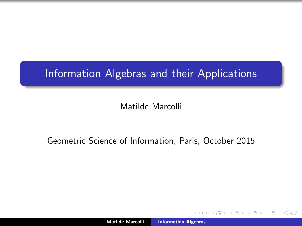# <span id="page-0-0"></span>Information Algebras and their Applications

# Matilde Marcolli

# Geometric Science of Information, Paris, October 2015

 $\leftarrow$   $\Box$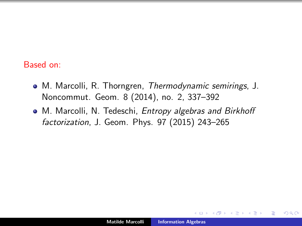#### Based on:

- M. Marcolli, R. Thorngren, Thermodynamic semirings, J. Noncommut. Geom. 8 (2014), no. 2, 337–392
- M. Marcolli, N. Tedeschi, Entropy algebras and Birkhoff factorization, J. Geom. Phys. 97 (2015) 243–265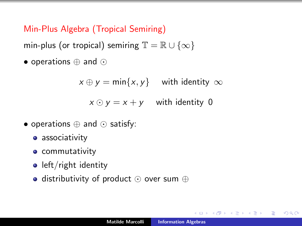Min-Plus Algebra (Tropical Semiring)

min-plus (or tropical) semiring  $\mathbb{T} = \mathbb{R} \cup \{\infty\}$ 

• operations  $\oplus$  and  $\odot$ 

 $x \oplus y = \min\{x, y\}$  with identity  $\infty$ 

 $x \odot y = x + y$  with identity 0

- operations  $\oplus$  and  $\odot$  satisfy:
	- **associativity**
	- **•** commutativity
	- $\bullet$  left/right identity
	- distributivity of product  $\odot$  over sum  $\oplus$

 $QQ$ 

4 A 6 4 F 6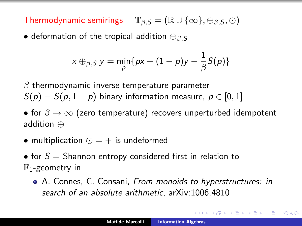Thermodynamic semirings  $\mathbb{T}_{\beta,S} = (\mathbb{R} \cup {\{\infty\}}, \oplus_{\beta,S}, \odot)$ 

• deformation of the tropical addition  $\bigoplus_{\beta}$  s

$$
x \oplus_{\beta, S} y = \min_{p} \{ px + (1-p)y - \frac{1}{\beta}S(p) \}
$$

 $\beta$  thermodynamic inverse temperature parameter  $S(p) = S(p, 1-p)$  binary information measure,  $p \in [0, 1]$ 

• for  $\beta \to \infty$  (zero temperature) recovers unperturbed idempotent addition ⊕

- multiplication  $\odot$  =  $+$  is undeformed
- for  $S =$  Shannon entropy considered first in relation to  $\mathbb{F}_1$ -geometry in
	- A. Connes, C. Consani, From monoids to hyperstructures: in search of an absolute arithmetic, arXiv:1006.4810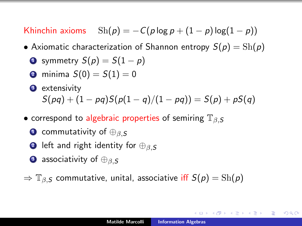Khinchin axioms  $\operatorname{Sh}(p) = -C(p \log p + (1-p) \log(1-p))$ 

- Axiomatic characterization of Shannon entropy  $S(p) = Sh(p)$ 
	- **■** symmetry  $S(p) = S(1-p)$
	- **2** minima  $S(0) = S(1) = 0$
	- **3** extensivity  $S(pq) + (1 - pq)S(p(1 - q)/(1 - pq)) = S(p) + pS(q)$
- correspond to algebraic properties of semiring  $\mathbb{T}_{\beta,S}$ 
	- **1** commutativity of  $\bigoplus_{\beta}$  s
	- 2 left and right identity for  $\bigoplus_{\beta,S}$
	- **3** associativity of  $\bigoplus_{\beta,S}$
- $\Rightarrow$   $\mathbb{T}_{\beta,S}$  commutative, unital, associative iff  $S(p) = Sh(p)$

→ (御)→ → (唐)→ → (唐)→ → 唐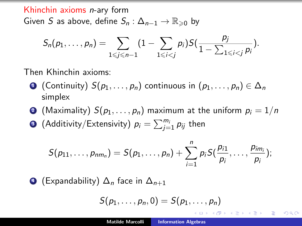Khinchin axioms n-ary form Given S as above, define  $S_n: \Delta_{n-1} \to \mathbb{R}_{\geqslant 0}$  by

$$
S_n(p_1,\ldots,p_n)=\sum_{1\leqslant j\leqslant n-1}(1-\sum_{1\leqslant i
$$

Then Khinchin axioms:

- **1** (Continuity)  $S(p_1, \ldots, p_n)$  continuous in  $(p_1, \ldots, p_n) \in \Delta_n$ simplex
- **2** (Maximality)  $S(p_1, \ldots, p_n)$  maximum at the uniform  $p_i = 1/n$
- $\bullet$  (Additivity/Extensivity)  $\rho_i = \sum_{j=1}^{m_i} p_{ij}$  then

$$
S(p_{11},\ldots,p_{nm_n})=S(p_1,\ldots,p_n)+\sum_{i=1}^n p_i S(\frac{p_{i1}}{p_i},\ldots,\frac{p_{im_i}}{p_i});
$$

4 (Expandability)  $\Delta_n$  face in  $\Delta_{n+1}$ 

$$
S(p_1,\ldots,p_n,0)=S(p_1,\ldots,p_n)
$$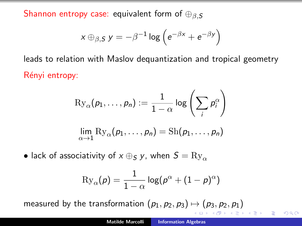Shannon entropy case: equivalent form of  $\oplus_{\beta,S}$ 

$$
x \oplus_{\beta, S} y = -\beta^{-1} \log \left( e^{-\beta x} + e^{-\beta y} \right)
$$

leads to relation with Maslov dequantization and tropical geometry Rényi entropy:

$$
\mathrm{Ry}_{\alpha}(p_1,\ldots,p_n) := \frac{1}{1-\alpha} \log \left( \sum_i p_i^{\alpha} \right)
$$

$$
\lim_{\alpha \to 1} \mathrm{Ry}_{\alpha}(p_1,\ldots,p_n) = \mathrm{Sh}(p_1,\ldots,p_n)
$$

• lack of associativity of  $x \oplus_S y$ , when  $S = Ry_{\alpha}$ 

$$
\mathrm{Ry}_\alpha(\rho)=\frac{1}{1-\alpha}\log(\rho^\alpha+(1-\rho)^\alpha)
$$

measured by the transformation  $(p_1, p_2, p_3) \mapsto (p_3, p_2, p_1)$ 

 $\Omega$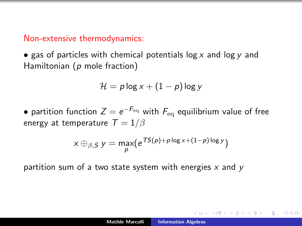#### Non-extensive thermodynamics:

• gas of particles with chemical potentials  $\log x$  and  $\log y$  and Hamiltonian (p mole fraction)

$$
\mathcal{H} = p \log x + (1 - p) \log y
$$

 $\bullet$  partition function  $Z=e^{-F_{\rm eq}}$  with  $F_{\rm eq}$  equilibrium value of free energy at temperature  $T = 1/\beta$ 

$$
x \oplus_{\beta, S} y = \max_{p} (e^{TS(p) + p \log x + (1-p) \log y})
$$

partition sum of a two state system with energies  $x$  and  $y$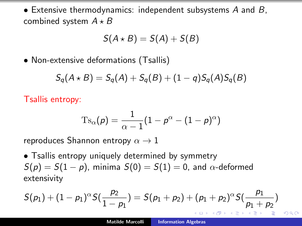• Extensive thermodynamics: independent subsystems A and B, combined system  $A \star B$ 

$$
S(A \star B) = S(A) + S(B)
$$

• Non-extensive deformations (Tsallis)

$$
S_q(A \star B) = S_q(A) + S_q(B) + (1-q)S_q(A)S_q(B)
$$

Tsallis entropy:

$$
\mathrm{Ts}_{\alpha}(p) = \frac{1}{\alpha - 1}(1 - p^{\alpha} - (1 - p)^{\alpha})
$$

reproduces Shannon entropy  $\alpha \rightarrow 1$ 

• Tsallis entropy uniquely determined by symmetry  $S(p) = S(1 - p)$ , minima  $S(0) = S(1) = 0$ , and  $\alpha$ -deformed extensivity

$$
S(p_1) + (1-p_1)^{\alpha} S(\frac{p_2}{1-p_1}) = S(p_1+p_2) + (p_1+p_2)^{\alpha} S(\frac{p_1}{p_1+p_2})
$$

 $\Omega$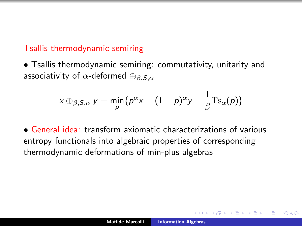# Tsallis thermodynamic semiring

• Tsallis thermodynamic semiring: commutativity, unitarity and associativity of  $\alpha$ -deformed  $\bigoplus_{\beta,\mathcal{S},\alpha}$ 

$$
x \oplus_{\beta, S, \alpha} y = \min_{\rho} \{ p^{\alpha} x + (1 - \rho)^{\alpha} y - \frac{1}{\beta} \mathrm{Ts}_{\alpha}(\rho) \}
$$

• General idea: transform axiomatic characterizations of various entropy functionals into algebraic properties of corresponding thermodynamic deformations of min-plus algebras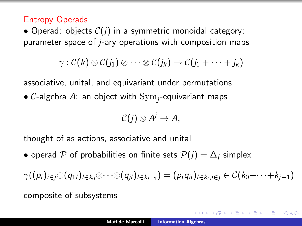### Entropy Operads

• Operad: objects  $C(j)$  in a symmetric monoidal category: parameter space of j-ary operations with composition maps

$$
\gamma:\mathcal{C}(k)\otimes\mathcal{C}(j_1)\otimes\cdots\otimes\mathcal{C}(j_k)\to\mathcal{C}(j_1+\cdots+j_k)
$$

associative, unital, and equivariant under permutations

 $\bullet$   $\mathcal C$ -algebra  $A$ : an object with  $\mathrm{Sym}_j$ -equivariant maps

$$
\mathcal{C}(j)\otimes A^j\to A,
$$

thought of as actions, associative and unital

• operad P of probabilities on finite sets  $P(j) = \Delta_i$  simplex

$$
\gamma((p_i)_{i\in j}\otimes(q_{1l})_{l\in k_0}\otimes\cdots\otimes(q_{jl})_{l\in k_{j-1}})=(p_iq_{il})_{l\in k_i,i\in j}\in\mathcal{C}(k_0+\cdots+k_{j-1})
$$

composite of subsystems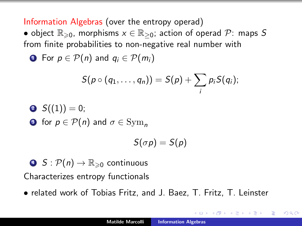<span id="page-11-0"></span>Information Algebras (over the entropy operad)

• object  $\mathbb{R}_{\geqslant 0}$ , morphisms  $x \in \mathbb{R}_{\geqslant 0}$ ; action of operad  $\mathcal{P}$ : maps S from finite probabilities to non-negative real number with

**1** For  $p \in \mathcal{P}(n)$  and  $q_i \in \mathcal{P}(m_i)$ 

$$
S(p\circ (q_1,\ldots,q_n))=S(p)+\sum_i p_i S(q_i);
$$

\n- $$
S((1)) = 0;
$$
\n- $S(\text{for } p \in \mathcal{P}(n)$  and  $\sigma \in \text{Sym}_n$
\n

$$
S(\sigma p)=S(p)
$$

 $\bullet$   $S : \mathcal{P}(n) \to \mathbb{R}_{\geq 0}$  continuous Characterizes entropy functionals

• related work of Tobias Fritz, and J. Baez, T. Fritz, T. Leinster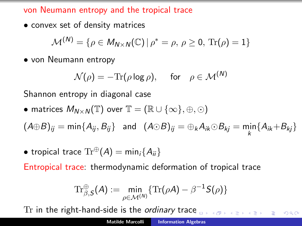<span id="page-12-0"></span>von Neumann entropy and the tropical trace

• convex set of density matrices

$$
\mathcal{M}^{(N)} = \{ \rho \in M_{N \times N}(\mathbb{C}) \, | \, \rho^* = \rho, \, \rho \geq 0, \, \text{Tr}(\rho) = 1 \}
$$

• von Neumann entropy

$$
\mathcal{N}(\rho) = -\text{Tr}(\rho \log \rho), \quad \text{for} \quad \rho \in \mathcal{M}^{(N)}
$$

Shannon entropy in diagonal case

• matrices  $M_{N\times N}(\mathbb{T})$  over  $\mathbb{T}=(\mathbb{R}\cup\{\infty\},\oplus,\odot)$ 

 $(A \oplus B)_{ij} = \min\{A_{ij}, B_{ij}\}$  and  $(A \odot B)_{ij} = \bigoplus_k A_{ik} \odot B_{kj} = \min_k \{A_{ik} + B_{kj}\}$ 

• tropical trace  $\text{Tr}^{\oplus}(A) = \min_i \{A_{ii}\}\$ 

Entropical trace: thermodynamic deformation of tropical trace

$$
\mathrm{Tr}^{\oplus}_{\beta,\mathsf{S}}(\mathsf{A}) := \min_{\rho \in \mathcal{M}^{(N)}} \{ \mathrm{Tr}(\rho \mathsf{A}) - \beta^{-1} \mathsf{S}(\rho) \}
$$

Tr in the right-hand-side is the ordinary tra[ce](#page-11-0)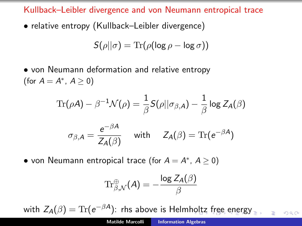Kullback–Leibler divergence and von Neumann entropical trace

• relative entropy (Kullback–Leibler divergence)

$$
S(\rho||\sigma) = \text{Tr}(\rho(\log \rho - \log \sigma))
$$

• von Neumann deformation and relative entropy (for  $A = A^*$ ,  $A \ge 0$ )

$$
\mathrm{Tr}(\rho \mathcal{A}) - \beta^{-1} \mathcal{N}(\rho) = \frac{1}{\beta} \mathcal{S}(\rho || \sigma_{\beta, \mathcal{A}}) - \frac{1}{\beta} \log Z_{\mathcal{A}}(\beta)
$$

$$
\sigma_{\beta, \mathcal{A}} = \frac{e^{-\beta \mathcal{A}}}{Z_{\mathcal{A}}(\beta)} \quad \text{with} \quad Z_{\mathcal{A}}(\beta) = \mathrm{Tr}(e^{-\beta \mathcal{A}})
$$

• von Neumann entropical trace (for  $A = A^*$ ,  $A \ge 0$ )

$$
\mathrm{Tr}^{\oplus}_{\beta,\mathcal{N}}(A)=-\frac{\log Z_{A}(\beta)}{\beta}
$$

with  $Z_{\mathcal{A}}(\beta) = \text{Tr}(\mathcal{e}^{-\beta \mathcal{A}})$ : rhs above is Helm[hol](#page-12-0)t[z free energy](#page-0-0)

 $\Omega$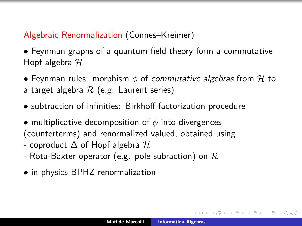# Algebraic Renormalization (Connes–Kreimer)

• Feynman graphs of a quantum field theory form a commutative Hopf algebra  $H$ 

- Feynman rules: morphism  $\phi$  of commutative algebras from H to a target algebra  $\mathcal R$  (e.g. Laurent series)
- subtraction of infinities: Birkhoff factorization procedure
- multiplicative decomposition of  $\phi$  into divergences (counterterms) and renormalized valued, obtained using
- coproduct  $\Delta$  of Hopf algebra  $\mathcal H$
- Rota-Baxter operator (e.g. pole subraction) on  $\cal R$
- in physics BPHZ renormalization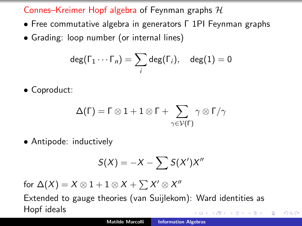Connes–Kreimer Hopf algebra of Feynman graphs  $H$ 

- Free commutative algebra in generators Γ 1PI Feynman graphs
- Grading: loop number (or internal lines)

$$
\deg(\Gamma_1\cdots\Gamma_n)=\sum_i\deg(\Gamma_i),\quad \deg(1)=0
$$

• Coproduct:

$$
\Delta(\Gamma)=\Gamma\otimes 1+1\otimes\Gamma+\sum_{\gamma\in\mathcal{V}(\Gamma)}\gamma\otimes\Gamma/\gamma
$$

• Antipode: inductively

$$
S(X) = -X - \sum S(X')X''
$$

for  $\Delta(X) = X \otimes 1 + 1 \otimes X + \sum X' \otimes X''$ 

Extended to gauge theories (van Suijlekom): Ward identities as Hopf ideals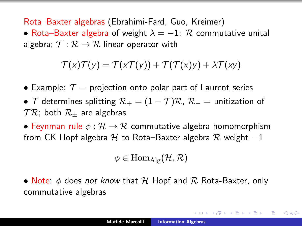Rota–Baxter algebras (Ebrahimi-Fard, Guo, Kreimer)

• Rota–Baxter algebra of weight  $\lambda = -1$ : R commutative unital algebra;  $\mathcal{T}: \mathcal{R} \to \mathcal{R}$  linear operator with

$$
\mathcal{T}(x)\mathcal{T}(y) = \mathcal{T}(x\mathcal{T}(y)) + \mathcal{T}(\mathcal{T}(x)y) + \lambda \mathcal{T}(xy)
$$

- Example:  $\mathcal{T} =$  projection onto polar part of Laurent series
- T determines splitting  $\mathcal{R}_+ = (1 \mathcal{T})\mathcal{R}$ ,  $\mathcal{R}_- =$  unitization of  $TR$ ; both  $R_{+}$  are algebras

• Feynman rule  $\phi : \mathcal{H} \to \mathcal{R}$  commutative algebra homomorphism from CK Hopf algebra H to Rota–Baxter algebra R weight  $-1$ 

 $\phi \in \text{Hom}_{\text{Alg}}(\mathcal{H}, \mathcal{R})$ 

• Note:  $\phi$  does not know that H Hopf and R Rota-Baxter, only commutative algebras

メタメメ ミメメ ミメー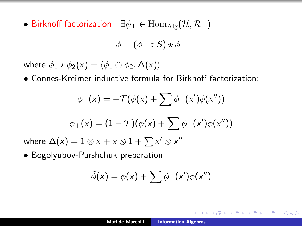• Birkhoff factorization  $\exists \phi_{\pm} \in \text{Hom}_{\text{Alg}}(\mathcal{H}, \mathcal{R}_{\pm})$ 

$$
\phi = (\phi_- \circ S) \star \phi_+
$$

where  $\phi_1 \star \phi_2(x) = \langle \phi_1 \otimes \phi_2, \Delta(x) \rangle$ 

• Connes-Kreimer inductive formula for Birkhoff factorization:

$$
\phi_{-}(x) = -\mathcal{T}(\phi(x) + \sum \phi_{-}(x')\phi(x''))
$$

$$
\phi_{+}(x) = (1 - \mathcal{T})(\phi(x) + \sum \phi_{-}(x')\phi(x''))
$$

where  $\Delta(x) = 1 \otimes x + x \otimes 1 + \sum x' \otimes x''$ 

• Bogolyubov-Parshchuk preparation

$$
\tilde{\phi}(x) = \phi(x) + \sum \phi_-(x')\phi(x'')
$$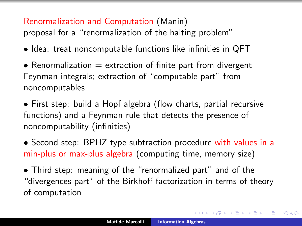## Renormalization and Computation (Manin)

proposal for a "renormalization of the halting problem"

- Idea: treat noncomputable functions like infinities in QFT
- Renormalization  $=$  extraction of finite part from divergent Feynman integrals; extraction of "computable part" from noncomputables
- First step: build a Hopf algebra (flow charts, partial recursive functions) and a Feynman rule that detects the presence of noncomputability (infinities)
- Second step: BPHZ type subtraction procedure with values in a min-plus or max-plus algebra (computing time, memory size)
- Third step: meaning of the "renormalized part" and of the "divergences part" of the Birkhoff factorization in terms of theory of computation

 $\mathcal{A}$   $\mathcal{A}$   $\mathcal{B}$   $\mathcal{A}$   $\mathcal{B}$   $\mathcal{B}$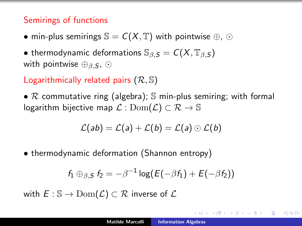# Semirings of functions

• min-plus semirings  $\mathbb{S} = C(X, \mathbb{T})$  with pointwise  $\oplus$ ,  $\odot$ 

• thermodynamic deformations  $\mathbb{S}_{\beta,S} = C(X,\mathbb{T}_{\beta,S})$ with pointwise  $\oplus_{\beta,S}$ ,  $\odot$ 

Logarithmically related pairs  $(\mathcal{R}, \mathbb{S})$ 

•  $R$  commutative ring (algebra);  $S$  min-plus semiring; with formal logarithm bijective map  $\mathcal{L}: \text{Dom}(\mathcal{L}) \subset \mathcal{R} \to \mathbb{S}$ 

$$
\mathcal{L}(ab) = \mathcal{L}(a) + \mathcal{L}(b) = \mathcal{L}(a) \odot \mathcal{L}(b)
$$

• thermodynamic deformation (Shannon entropy)

$$
f_1 \oplus_{\beta,S} f_2 = -\beta^{-1} \log (E(-\beta f_1) + E(-\beta f_2))
$$

with  $E : \mathbb{S} \to \text{Dom}(\mathcal{L}) \subset \mathcal{R}$  inverse of  $\mathcal{L}$ 

→ 伊 → → ミ →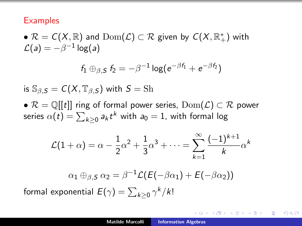#### **Examples**

 $\bullet$   $\mathcal{R}=\mathcal{C}(X,\mathbb{R})$  and  $\mathrm{Dom}(\mathcal{L})\subset \mathcal{R}$  given by  $\mathcal{C}(X,\mathbb{R}_+^*)$  with  $\mathcal{L}(\mathsf{a}) = -\beta^{-1}\log(\mathsf{a})$ 

$$
f_1 \oplus_{\beta,S} f_2 = -\beta^{-1} \log(e^{-\beta f_1} + e^{-\beta f_2})
$$

is  $\mathbb{S}_{\beta,S} = C(X,\mathbb{T}_{\beta,S})$  with  $S = \text{Sh}$ 

•  $\mathcal{R} = \mathbb{Q}[[t]]$  ring of formal power series,  $\text{Dom}(\mathcal{L}) \subset \mathcal{R}$  power series  $\alpha(t)=\sum_{k\geq 0}a_kt^k$  with  $a_0=1$ , with formal log

$$
\mathcal{L}(1+\alpha) = \alpha - \frac{1}{2}\alpha^2 + \frac{1}{3}\alpha^3 + \dots = \sum_{k=1}^{\infty} \frac{(-1)^{k+1}}{k} \alpha^k
$$

$$
\alpha_1 \oplus_{\beta,5} \alpha_2 = \beta^{-1} \mathcal{L}(E(-\beta \alpha_1) + E(-\beta \alpha_2))
$$

formal exponential  $\mathit{E}(\gamma) = \sum_{k\geq 0} \gamma^k / k!$ 

 $QQ$ 

∢ 伊 ▶ (す ) → ( ヨ ) →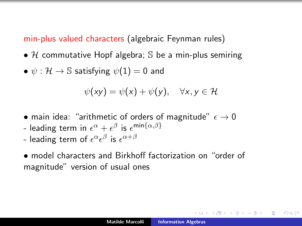min-plus valued characters (algebraic Feynman rules)

- H commutative Hopf algebra; S be a min-plus semiring
- $\psi : \mathcal{H} \to \mathbb{S}$  satisfying  $\psi(1) = 0$  and

$$
\psi(xy) = \psi(x) + \psi(y), \quad \forall x, y \in \mathcal{H}
$$

- main idea: "arithmetic of orders of magnitude"  $\epsilon \to 0$
- leading term in  $\epsilon^{\alpha} + \epsilon^{\beta}$  is  $\epsilon^{\textsf{min}\{\alpha,\beta\}}$
- leading term of  $\epsilon^{\alpha}\epsilon^{\beta}$  is  $\epsilon^{\alpha+\beta}$
- model characters and Birkhoff factorization on "order of magnitude" version of usual ones

 $\Omega$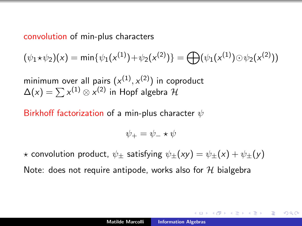#### convolution of min-plus characters

$$
(\psi_1 * \psi_2)(x) = \min{\psi_1(x^{(1)}) + \psi_2(x^{(2)})} = \bigoplus (\psi_1(x^{(1)}) \odot \psi_2(x^{(2)}))
$$

minimum over all pairs  $(x^{(1)},x^{(2)})$  in coproduct  $\Delta(x)=\sum x^{(1)}\otimes x^{(2)}$  in Hopf algebra  ${\mathcal H}$ 

Birkhoff factorization of a min-plus character  $\psi$ 

$$
\psi_+ = \psi_- \star \psi
$$

 $\star$  convolution product,  $\psi_{\pm}$  satisfying  $\psi_{\pm}(xy) = \psi_{\pm}(x) + \psi_{\pm}(y)$ 

Note: does not require antipode, works also for  $H$  bialgebra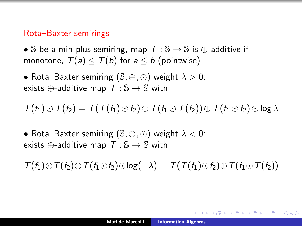#### Rota–Baxter semirings

• S be a min-plus semiring, map  $T : \mathbb{S} \to \mathbb{S}$  is  $\oplus$ -additive if monotone,  $T(a) \leq T(b)$  for  $a \leq b$  (pointwise)

• Rota–Baxter semiring  $(S, \oplus, \odot)$  weight  $\lambda > 0$ : exists  $\oplus$ -additive map  $T : \mathbb{S} \to \mathbb{S}$  with

 $T(f_1) \odot T(f_2) = T(T(f_1) \odot f_2) \oplus T(f_1 \odot T(f_2)) \oplus T(f_1 \odot f_2) \odot \log \lambda$ 

• Rota–Baxter semiring  $(S, \oplus, \odot)$  weight  $\lambda < 0$ : exists  $\oplus$ -additive map  $T : \mathbb{S} \to \mathbb{S}$  with

 $T(f_1) \odot T(f_2) \oplus T(f_1 \odot f_2) \odot \log(-\lambda) = T(T(f_1) \odot f_2) \oplus T(f_1 \odot T(f_2))$ 

メ 倒 ト メ ヨ ト メ ヨ ト

 $\Omega$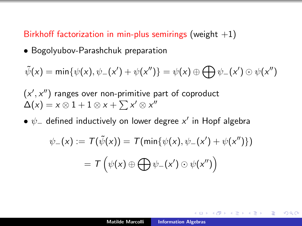# Birkhoff factorization in min-plus semirings (weight  $+1$ )

• Bogolyubov-Parashchuk preparation

$$
\tilde{\psi}(x) = \min{\psi(x), \psi_-(x') + \psi(x'')} = \psi(x) \oplus \bigoplus \psi_-(x') \odot \psi(x'')
$$

 $(x', x'')$  ranges over non-primitive part of coproduct  $\Delta(x) = x \otimes 1 + 1 \otimes x + \sum x' \otimes x''$ 

 $\bullet$   $\psi_{-}$  defined inductively on lower degree  $\mathsf{x}'$  in Hopf algebra

$$
\psi_{-}(x) := \mathcal{T}(\tilde{\psi}(x)) = \mathcal{T}(\min\{\psi(x), \psi_{-}(x') + \psi(x'')\})
$$

$$
= \mathcal{T}\left(\psi(x) \oplus \bigoplus \psi_{-}(x') \odot \psi(x'')\right)
$$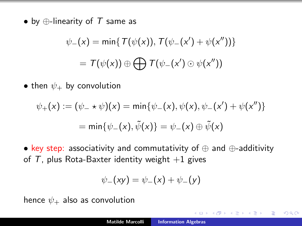• by  $\bigoplus$ -linearity of T same as

$$
\psi_{-}(x) = \min\{T(\psi(x)), T(\psi_{-}(x') + \psi(x''))\}
$$

$$
= T(\psi(x)) \oplus \bigoplus T(\psi_{-}(x') \odot \psi(x''))
$$

• then  $\psi_+$  by convolution

$$
\psi_{+}(x) := (\psi_{-} \star \psi)(x) = \min{\psi_{-}(x), \psi(x), \psi_{-}(x') + \psi(x'')}
$$

$$
= \min{\psi_{-}(x), \tilde{\psi}(x)} = \psi_{-}(x) \oplus \tilde{\psi}(x)
$$

• key step: associativity and commutativity of ⊕ and ⊕-additivity of  $T$ , plus Rota-Baxter identity weight  $+1$  gives

$$
\psi_{-}(xy) = \psi_{-}(x) + \psi_{-}(y)
$$

hence  $\psi_+$  also as convolution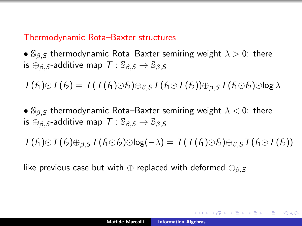### Thermodynamic Rota–Baxter structures

•  $\mathbb{S}_{\beta,S}$  thermodynamic Rota–Baxter semiring weight  $\lambda > 0$ : there is  $\oplus$ <sub>β, S</sub>-additive map  $T : \mathbb{S}_{\beta,S} \to \mathbb{S}_{\beta,S}$ 

 $T(f_1) \odot T(f_2) = T(T(f_1) \odot f_2) \oplus_{\beta, S} T(f_1 \odot T(f_2)) \oplus_{\beta, S} T(f_1 \odot f_2) \odot \log \lambda$ 

•  $\mathbb{S}_{\beta,S}$  thermodynamic Rota–Baxter semiring weight  $\lambda < 0$ : there is  $\bigoplus_{\beta,\mathcal{S}}$ -additive map  $\mathcal{T}: \mathbb{S}_{\beta,\mathcal{S}} \to \mathbb{S}_{\beta,\mathcal{S}}$ 

 $T(f_1) \odot T(f_2) \oplus_B \varsigma T(f_1 \odot f_2) \odot \log(-\lambda) = T(T(f_1) \odot f_2) \oplus_B \varsigma T(f_1 \odot T(f_2))$ 

like previous case but with  $\oplus$  replaced with deformed  $\oplus_{\beta,S}$ 

イロン イ団ン イミン イモン 一店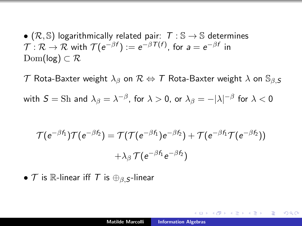•  $(\mathcal{R}, \mathbb{S})$  logarithmically related pair:  $\mathcal{T} : \mathbb{S} \to \mathbb{S}$  determines  $\mathcal{T}:\mathcal{R}\to\mathcal{R}$  with  $\mathcal{T}(e^{-\beta f}):=e^{-\beta \mathcal{T}(f)},$  for  $a=e^{-\beta f}$  in  $Dom(log) \subset \mathcal{R}$ 

 $\mathcal T$  Rota-Baxter weight  $\lambda_\beta$  on  $\mathcal R \Leftrightarrow \mathcal T$  Rota-Baxter weight  $\lambda$  on  $\mathbb S_{\beta, \mathcal S}$ with  $S=\text{Sh}$  and  $\lambda_{\beta}=\lambda^{-\beta}$ , for  $\lambda>0$ , or  $\lambda_{\beta}=-|\lambda|^{-\beta}$  for  $\lambda<0$ 

$$
\mathcal{T}(e^{-\beta f_1})\mathcal{T}(e^{-\beta f_2})=\mathcal{T}(\mathcal{T}(e^{-\beta f_1})e^{-\beta f_2})+\mathcal{T}(e^{-\beta f_1}\mathcal{T}(e^{-\beta f_2}))\\+\lambda_{\beta}\,\mathcal{T}(e^{-\beta f_1}e^{-\beta f_2})
$$

•  $\mathcal T$  is  $\mathbb R$ -linear iff  $\mathcal T$  is  $\oplus_{\beta,\mathcal S}$ -linear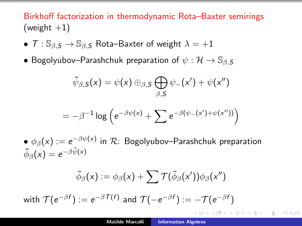Birkhoff factorization in thermodynamic Rota–Baxter semirings (weight  $+1$ )

- $T : \mathbb{S}_{\beta,S} \to \mathbb{S}_{\beta,S}$  Rota–Baxter of weight  $\lambda = +1$
- Bogolyubov–Parashchuk preparation of  $\psi : \mathcal{H} \to \mathbb{S}_{\beta,S}$

$$
\tilde{\psi}_{\beta,S}(x) = \psi(x) \oplus_{\beta,S} \bigoplus_{\beta,S} \psi_{-}(x') + \psi(x'')
$$

$$
= -\beta^{-1} \log \left( e^{-\beta \psi(x)} + \sum e^{-\beta(\psi_-(x') + \psi(x''))} \right)
$$

 $\bullet$   $\phi_{\beta}(\mathsf{x}) := e^{-\beta \psi(\mathsf{x})}$  in  $\mathcal{R}$ : Bogolyubov–Parashchuk preparation  $\tilde{\phi}_\beta(x) = e^{-\beta \tilde{\psi}(x)}$ 

$$
\tilde{\phi}_{\beta}(x) := \phi_{\beta}(x) + \sum \mathcal{T}(\tilde{\phi}_{\beta}(x'))\phi_{\beta}(x'')
$$

with  $\mathcal{T}(e^{-\beta f}):=e^{-\beta \mathcal{T}(f)}$  and  $\mathcal{T}(-e^{-\beta f}):=-\mathcal{T}(e^{-\beta f})$ 

重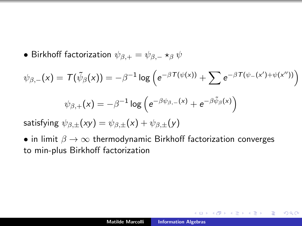• Birkhoff factorization  $\psi_{\beta,+} = \psi_{\beta,-} \star_\beta \psi$ 

$$
\psi_{\beta,-}(x) = \mathcal{T}(\tilde{\psi}_{\beta}(x)) = -\beta^{-1} \log \left( e^{-\beta \mathcal{T}(\psi(x))} + \sum e^{-\beta \mathcal{T}(\psi_{-}(x') + \psi(x''))} \right)
$$

$$
\psi_{\beta,+}(x) = -\beta^{-1} \log \left( e^{-\beta \psi_{\beta,-}(x)} + e^{-\beta \tilde{\psi}_{\beta}(x)} \right)
$$

satisfying  $\psi_{\beta,+}(xy) = \psi_{\beta,+}(x) + \psi_{\beta,+}(y)$ 

• in limit  $\beta \to \infty$  thermodynamic Birkhoff factorization converges to min-plus Birkhoff factorization

 $2Q$ 

4 A 6 4 F 6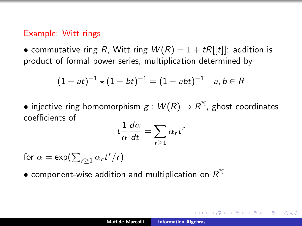#### Example: Witt rings

• commutative ring R, Witt ring  $W(R) = 1 + tR[[t]]$ : addition is product of formal power series, multiplication determined by

$$
(1 - at)^{-1} \star (1 - bt)^{-1} = (1 - abt)^{-1} \quad a, b \in R
$$

 $\bullet$  injective ring homomorphism  $g:W(R)\rightarrow R^{\mathbb{N}}$ , ghost coordinates coefficients of

$$
t\frac{1}{\alpha}\frac{d\alpha}{dt}=\sum_{r\geq 1}\alpha_rt^r
$$

for  $\alpha = \exp(\sum_{r\geq 1} \alpha_r t^r/r)$ 

 $\bullet$  component-wise addition and multiplication on  $R^{\mathbb{N}}$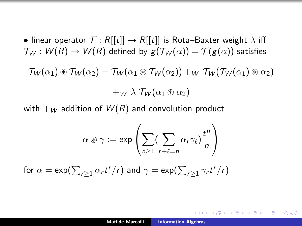• linear operator  $\mathcal{T}: R[[t]] \rightarrow R[[t]]$  is Rota–Baxter weight  $\lambda$  iff  $\mathcal{T}_W : W(R) \to W(R)$  defined by  $g(\mathcal{T}_W(\alpha)) = \mathcal{T}(g(\alpha))$  satisfies  $\mathcal{T}_W(\alpha_1) \otimes \mathcal{T}_W(\alpha_2) = \mathcal{T}_W(\alpha_1 \otimes \mathcal{T}_W(\alpha_2)) + W \mathcal{T}_W(\mathcal{T}_W(\alpha_1) \otimes \alpha_2)$  $+w \lambda \mathcal{T}_W(\alpha_1 \circledast \alpha_2)$ 

with  $+_{W}$  addition of  $W(R)$  and convolution product

$$
\alpha \circledast \gamma := \exp \left( \sum_{n \geq 1} (\sum_{r+\ell=n} \alpha_r \gamma_\ell) \frac{t^n}{n} \right)
$$

for  $\alpha = \exp(\sum_{r\geq 1} \alpha_r t^r / r)$  and  $\gamma = \exp(\sum_{r\geq 1} \gamma_r t^r / r)$ 

する トランチ トランド・エル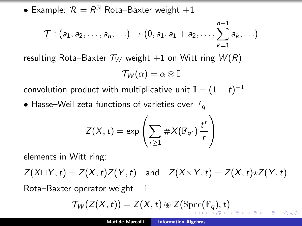<span id="page-32-0"></span> $\bullet$  Example:  $\mathcal{R} = \mathcal{R}^{\mathbb{N}}$  Rota–Baxter weight  $+1$ 

$$
\mathcal{T}: (a_1,a_2,\ldots,a_n,\ldots) \mapsto (0,a_1,a_1+a_2,\ldots,\sum_{k=1}^{n-1}a_k,\ldots)
$$

resulting Rota–Baxter  $\mathcal{T}_W$  weight  $+1$  on Witt ring  $W(R)$ 

$$
\mathcal{T}_W(\alpha)=\alpha\circledast\mathbb{I}
$$

convolution product with multiplicative unit  $\mathbb{I} = (1-t)^{-1}$ 

• Hasse–Weil zeta functions of varieties over  $\mathbb{F}_q$ 

$$
Z(X,t) = \exp\left(\sum_{r\geq 1} \#X(\mathbb{F}_{q^r}) \frac{t^r}{r}\right)
$$

elements in Witt ring:

 $Z(X \cup Y, t) = Z(X, t)Z(Y, t)$  and  $Z(X \times Y, t) = Z(X, t) \star Z(Y, t)$ 

Rota–Baxter operator weight  $+1$ 

$$
\mathcal{T}_W(Z(X,t)) = Z(X,t) \circledast Z(\mathrm{Spec}(\mathbb{F}_q),t)
$$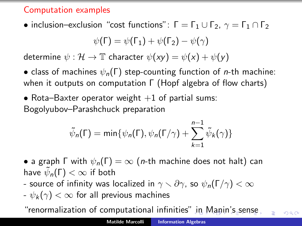# Computation examples

• inclusion–exclusion "cost functions":  $\Gamma = \Gamma_1 \cup \Gamma_2$ ,  $\gamma = \Gamma_1 \cap \Gamma_2$ 

$$
\psi(\Gamma) = \psi(\Gamma_1) + \psi(\Gamma_2) - \psi(\gamma)
$$

determine  $\psi : \mathcal{H} \to \mathbb{T}$  character  $\psi(xy) = \psi(x) + \psi(y)$ 

• class of machines  $\psi_n(\Gamma)$  step-counting function of *n*-th machine: when it outputs on computation Γ (Hopf algebra of flow charts)

• Rota–Baxter operator weight  $+1$  of partial sums: Bogolyubov–Parashchuck preparation

$$
\tilde{\psi}_n(\Gamma) = \min{\psi_n(\Gamma), \psi_n(\Gamma/\gamma) + \sum_{k=1}^{n-1} \tilde{\psi}_k(\gamma)}
$$

• a graph  $\Gamma$  with  $\psi_n(\Gamma) = \infty$  (*n*-th machine does not halt) can have  $\tilde{\psi}_{\bm n}(\bm{\mathsf{\Gamma}})<\infty$  if both

- source of infinity was localized in  $\gamma \setminus \partial \gamma$ , so  $\psi_n(\Gamma/\gamma) < \infty$
- $-\psi_k(\gamma) < \infty$  for all previous machines

"renormalization of computational infinities[" in](#page-32-0) [Manin's sense](#page-0-0)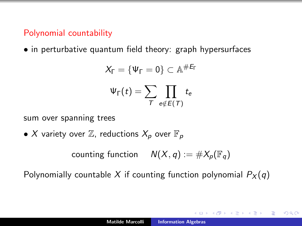# Polynomial countability

• in perturbative quantum field theory: graph hypersurfaces

$$
X_{\Gamma} = \{ \Psi_{\Gamma} = 0 \} \subset \mathbb{A}^{\#E_{\Gamma}}
$$

$$
\Psi_{\Gamma}(t) = \sum_{\mathcal{T}} \prod_{e \notin E(\mathcal{T})} t_e
$$

sum over spanning trees

• X variety over  $\mathbb{Z}$ , reductions  $X_p$  over  $\mathbb{F}_p$ 

counting function  $N(X, q) := #X_p(\mathbb{F}_q)$ 

Polynomially countable X if counting function polynomial  $P_X(q)$ 

メタメメ ミメメ ミメ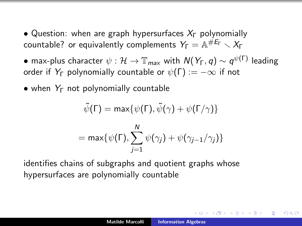- Question: when are graph hypersurfaces  $X_{\Gamma}$  polynomially countable? or equivalently complements  $Y_\mathsf{\Gamma} = \mathbb{A}^{\# \mathsf{E}_\mathsf{\Gamma}} \smallsetminus X_\mathsf{\Gamma}$
- $\bullet$  max-plus character  $\psi:\mathcal{H}\to \mathbb{T}_{\textit{max}}$  with  $\textit{N}(\textit{Y}_\Gamma,\textit{q})\sim q^{\psi(\Gamma)}$  leading order if  $Y_{\Gamma}$  polynomially countable or  $\psi(\Gamma) := -\infty$  if not
- when  $Y_{\Gamma}$  not polynomially countable

$$
\tilde{\psi}(\Gamma) = \max{\psi(\Gamma), \tilde{\psi}(\gamma) + \psi(\Gamma/\gamma)}
$$

$$
= \max{\psi(\Gamma), \sum_{j=1}^{N} \psi(\gamma_j) + \psi(\gamma_{j-1}/\gamma_j)}
$$

identifies chains of subgraphs and quotient graphs whose hypersurfaces are polynomially countable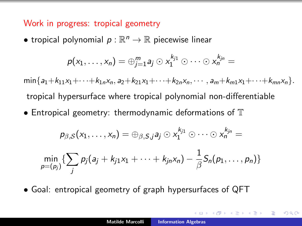#### Work in progress: tropical geometry

• tropical polynomial  $p : \mathbb{R}^n \to \mathbb{R}$  piecewise linear

$$
p(x_1,\ldots,x_n)=\oplus_{j=1}^m a_j\odot x_1^{k_{j1}}\odot\cdots\odot x_n^{k_{jn}}=
$$

 $\min\{a_1+k_{11}x_1+\cdots+k_{1n}x_n, a_2+k_{21}x_1+\cdots+k_{2n}x_n, \cdots, a_m+k_{m1}x_1+\cdots+k_{mn}x_n\}.$ tropical hypersurface where tropical polynomial non-differentiable

• Entropical geometry: thermodynamic deformations of  $\mathbb T$ 

$$
p_{\beta,S}(x_1,\ldots,x_n)=\oplus_{\beta,S,j}a_j\odot x_1^{k_{j1}}\odot\cdots\odot x_n^{k_{jn}}=
$$

$$
\min_{p=(p_j)}\{\sum_j p_j(a_j+k_{j1}x_1+\cdots+k_{jn}x_n)-\frac{1}{\beta}S_n(p_1,\ldots,p_n)\}
$$

• Goal: entropical geometry of graph hypersurfaces of QFT